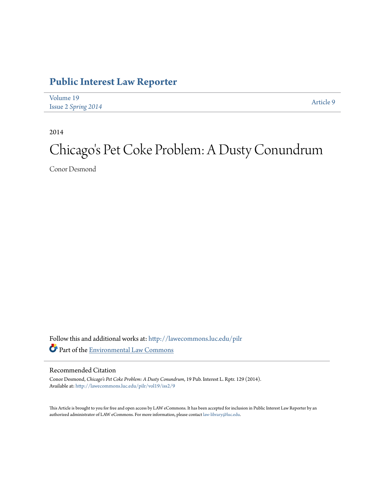### **[Public Interest Law Reporter](http://lawecommons.luc.edu/pilr?utm_source=lawecommons.luc.edu%2Fpilr%2Fvol19%2Fiss2%2F9&utm_medium=PDF&utm_campaign=PDFCoverPages)**

| Volume 19           | Article 9 |
|---------------------|-----------|
| Issue 2 Spring 2014 |           |

2014

# Chicago 's Pet Coke Problem: A Dusty Conundrum

Conor Desmond

Follow this and additional works at: [http://lawecommons.luc.edu/pilr](http://lawecommons.luc.edu/pilr?utm_source=lawecommons.luc.edu%2Fpilr%2Fvol19%2Fiss2%2F9&utm_medium=PDF&utm_campaign=PDFCoverPages) Part of the [Environmental Law Commons](http://network.bepress.com/hgg/discipline/599?utm_source=lawecommons.luc.edu%2Fpilr%2Fvol19%2Fiss2%2F9&utm_medium=PDF&utm_campaign=PDFCoverPages)

### Recommended Citation

Conor Desmond, *Chicago's Pet Coke Problem: A Dusty Conundrum*, 19 Pub. Interest L. Rptr. 129 (2014). Available at: [http://lawecommons.luc.edu/pilr/vol19/iss2/9](http://lawecommons.luc.edu/pilr/vol19/iss2/9?utm_source=lawecommons.luc.edu%2Fpilr%2Fvol19%2Fiss2%2F9&utm_medium=PDF&utm_campaign=PDFCoverPages)

This Article is brought to you for free and open access by LAW eCommons. It has been accepted for inclusion in Public Interest Law Reporter by an authorized administrator of LAW eCommons. For more information, please contact [law-library@luc.edu.](mailto:law-library@luc.edu)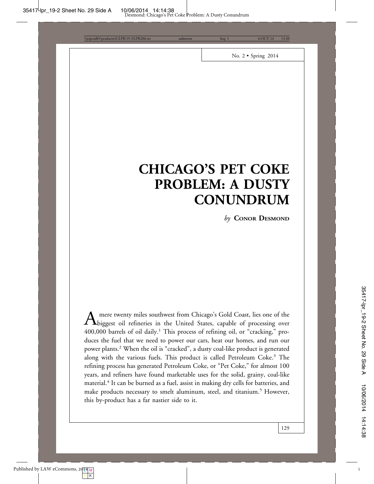Desmond: Chicago's Pet Coke Problem: A Dusty Conundrum

d01\productn\L\LPR\19-2\LPR206.txt unknown Seq: 1 6-OCT-14

No. 2 • Spring 2014

## **CHICAGO'S PET COKE PROBLEM: A DUSTY CONUNDRUM**

*by* **CONOR DESMOND**

A mere twenty miles southwest from Chicago's Gold Coast, lies one of the<br>biggest oil refineries in the United States, capable of processing over 400,000 barrels of oil daily.<sup>1</sup> This process of refining oil, or "cracking," produces the fuel that we need to power our cars, heat our homes, and run our power plants.<sup>2</sup> When the oil is "cracked", a dusty coal-like product is generated along with the various fuels. This product is called Petroleum Coke.<sup>3</sup> The refining process has generated Petroleum Coke, or "Pet Coke," for almost 100 years, and refiners have found marketable uses for the solid, grainy, coal-like material.<sup>4</sup> It can be burned as a fuel, assist in making dry cells for batteries, and make products necessary to smelt aluminum, steel, and titanium.<sup>5</sup> However, this by-product has a far nastier side to it.

1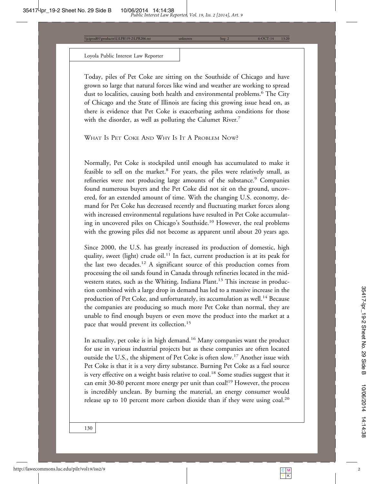\\jciprod01\productn\L\LPR\19-2\LPR206.txt unknown Seq: 2 6-OCT-14 13:20

### Loyola Public Interest Law Reporter

Today, piles of Pet Coke are sitting on the Southside of Chicago and have grown so large that natural forces like wind and weather are working to spread dust to localities, causing both health and environmental problems.<sup>6</sup> The City of Chicago and the State of Illinois are facing this growing issue head on, as there is evidence that Pet Coke is exacerbating asthma conditions for those with the disorder, as well as polluting the Calumet River.<sup>7</sup>

WHAT IS PET COKE AND WHY IS IT A PROBLEM NOW?

Normally, Pet Coke is stockpiled until enough has accumulated to make it feasible to sell on the market.<sup>8</sup> For years, the piles were relatively small, as refineries were not producing large amounts of the substance.<sup>9</sup> Companies found numerous buyers and the Pet Coke did not sit on the ground, uncovered, for an extended amount of time. With the changing U.S. economy, demand for Pet Coke has decreased recently and fluctuating market forces along with increased environmental regulations have resulted in Pet Coke accumulating in uncovered piles on Chicago's Southside.10 However, the real problems with the growing piles did not become as apparent until about 20 years ago.

Since 2000, the U.S. has greatly increased its production of domestic, high quality, sweet (light) crude oil.<sup>11</sup> In fact, current production is at its peak for the last two decades.<sup>12</sup> A significant source of this production comes from processing the oil sands found in Canada through refineries located in the midwestern states, such as the Whiting, Indiana Plant.<sup>13</sup> This increase in production combined with a large drop in demand has led to a massive increase in the production of Pet Coke, and unfortunately, its accumulation as well.<sup>14</sup> Because the companies are producing so much more Pet Coke than normal, they are unable to find enough buyers or even move the product into the market at a pace that would prevent its collection.<sup>15</sup>

In actuality, pet coke is in high demand.<sup>16</sup> Many companies want the product for use in various industrial projects but as these companies are often located outside the U.S., the shipment of Pet Coke is often slow.17 Another issue with Pet Coke is that it is a very dirty substance. Burning Pet Coke as a fuel source is very effective on a weight basis relative to coal.<sup>18</sup> Some studies suggest that it can emit 30-80 percent more energy per unit than coal!<sup>19</sup> However, the process is incredibly unclean. By burning the material, an energy consumer would release up to 10 percent more carbon dioxide than if they were using coal.<sup>20</sup>

2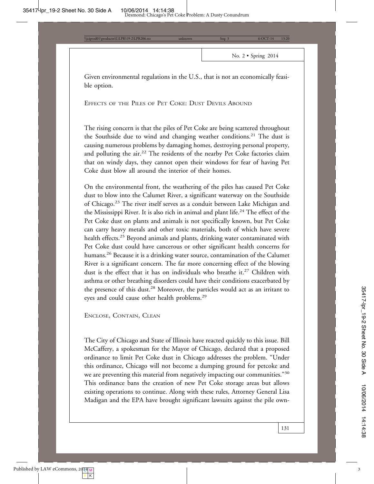No. 2 • Spring 2014

Given environmental regulations in the U.S., that is not an economically feasible option.

EFFECTS OF THE PILES OF PET COKE: DUST DEVILS ABOUND

ctn\L\LPR\19-2\LPR2

The rising concern is that the piles of Pet Coke are being scattered throughout the Southside due to wind and changing weather conditions.<sup>21</sup> The dust is causing numerous problems by damaging homes, destroying personal property, and polluting the air.<sup>22</sup> The residents of the nearby Pet Coke factories claim that on windy days, they cannot open their windows for fear of having Pet Coke dust blow all around the interior of their homes.

On the environmental front, the weathering of the piles has caused Pet Coke dust to blow into the Calumet River, a significant waterway on the Southside of Chicago.23 The river itself serves as a conduit between Lake Michigan and the Mississippi River. It is also rich in animal and plant life.<sup>24</sup> The effect of the Pet Coke dust on plants and animals is not specifically known, but Pet Coke can carry heavy metals and other toxic materials, both of which have severe health effects.<sup>25</sup> Beyond animals and plants, drinking water contaminated with Pet Coke dust could have cancerous or other significant health concerns for humans.<sup>26</sup> Because it is a drinking water source, contamination of the Calumet River is a significant concern. The far more concerning effect of the blowing dust is the effect that it has on individuals who breathe it.<sup>27</sup> Children with asthma or other breathing disorders could have their conditions exacerbated by the presence of this dust.<sup>28</sup> Moreover, the particles would act as an irritant to eyes and could cause other health problems.29

ENCLOSE, CONTAIN, CLEAN

The City of Chicago and State of Illinois have reacted quickly to this issue. Bill McCaffery, a spokesman for the Mayor of Chicago, declared that a proposed ordinance to limit Pet Coke dust in Chicago addresses the problem. "Under this ordinance, Chicago will not become a dumping ground for petcoke and we are preventing this material from negatively impacting our communities."<sup>30</sup> This ordinance bans the creation of new Pet Coke storage areas but allows existing operations to continue. Along with these rules, Attorney General Lisa Madigan and the EPA have brought significant lawsuits against the pile own-

131

Y | K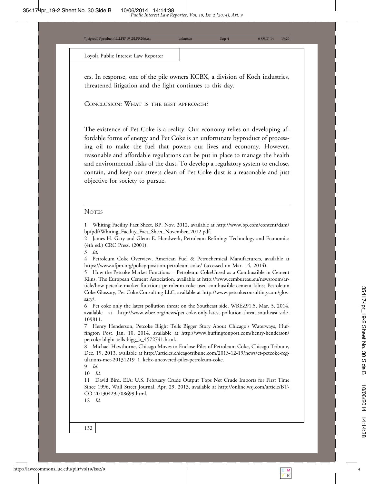$\frac{\text{tr}\left(\text{LL}\right)P\text{R}}{206.1}$  13:20

Loyola Public Interest Law Reporter

ers. In response, one of the pile owners KCBX, a division of Koch industries, threatened litigation and the fight continues to this day.

CONCLUSION: WHAT IS THE BEST APPROACH?

The existence of Pet Coke is a reality. Our economy relies on developing affordable forms of energy and Pet Coke is an unfortunate byproduct of processing oil to make the fuel that powers our lives and economy. However, reasonable and affordable regulations can be put in place to manage the health and environmental risks of the dust. To develop a regulatory system to enclose, contain, and keep our streets clean of Pet Coke dust is a reasonable and just objective for society to pursue.

#### **NOTES**

1 Whiting Facility Fact Sheet, BP, Nov. 2012, available at http://www.bp.com/content/dam/ bp/pdf/Whiting\_Facility\_Fact\_Sheet\_November\_2012.pdf.

2 James H. Gary and Glenn E. Handwerk, Petroleum Refining: Technology and Economics (4th ed.) CRC Press. (2001).

4 Petroleum Coke Overview, American Fuel & Petrochemical Manufacturers, available at https://www.afpm.org/policy-position-petroleum-coke/ (accessed on Mar. 14, 2014).

5 How the Petcoke Market Functions – Petroleum CokeUused as a Combustible in Cement Kilns, The European Cement Association, available at http://www.cembureau.eu/newsroom/article/how-petcoke-market-functions-petroleum-coke-used-combustible-cement-kilns; Petroleum Coke Glossary, Pet Coke Consulting LLC, available at http://www.petcokeconsulting.com/glossary/.

6 Pet coke only the latest pollution threat on the Southeast side, WBEZ91.5, Mar. 5, 2014, available at http://www.wbez.org/news/pet-coke-only-latest-pollution-threat-southeast-side-109811.

7 Henry Henderson, Petcoke Blight Tells Bigger Story About Chicago's Waterways, Huffington Post, Jan. 10, 2014, available at http://www.huffingtonpost.com/henry-henderson/ petcoke-blight-tells-bigg\_b\_4572741.html.

8 Michael Hawthorne, Chicago Moves to Enclose Piles of Petroleum Coke, Chicago Tribune, Dec, 19, 2013, available at http://articles.chicagotribune.com/2013-12-19/news/ct-petcoke-regulations-met-20131219\_1\_kcbx-uncovered-piles-petroleum-coke.

9 *Id.*

10 *Id.*

11 David Bird, EIA: U.S. February Crude Output Tops Net Crude Imports for First Time Since 1996, Wall Street Journal, Apr. 29, 2013, available at http://online.wsj.com/article/BT-CO-20130429-708699.html.

12 *Id.*

132

<sup>3</sup> *Id.*